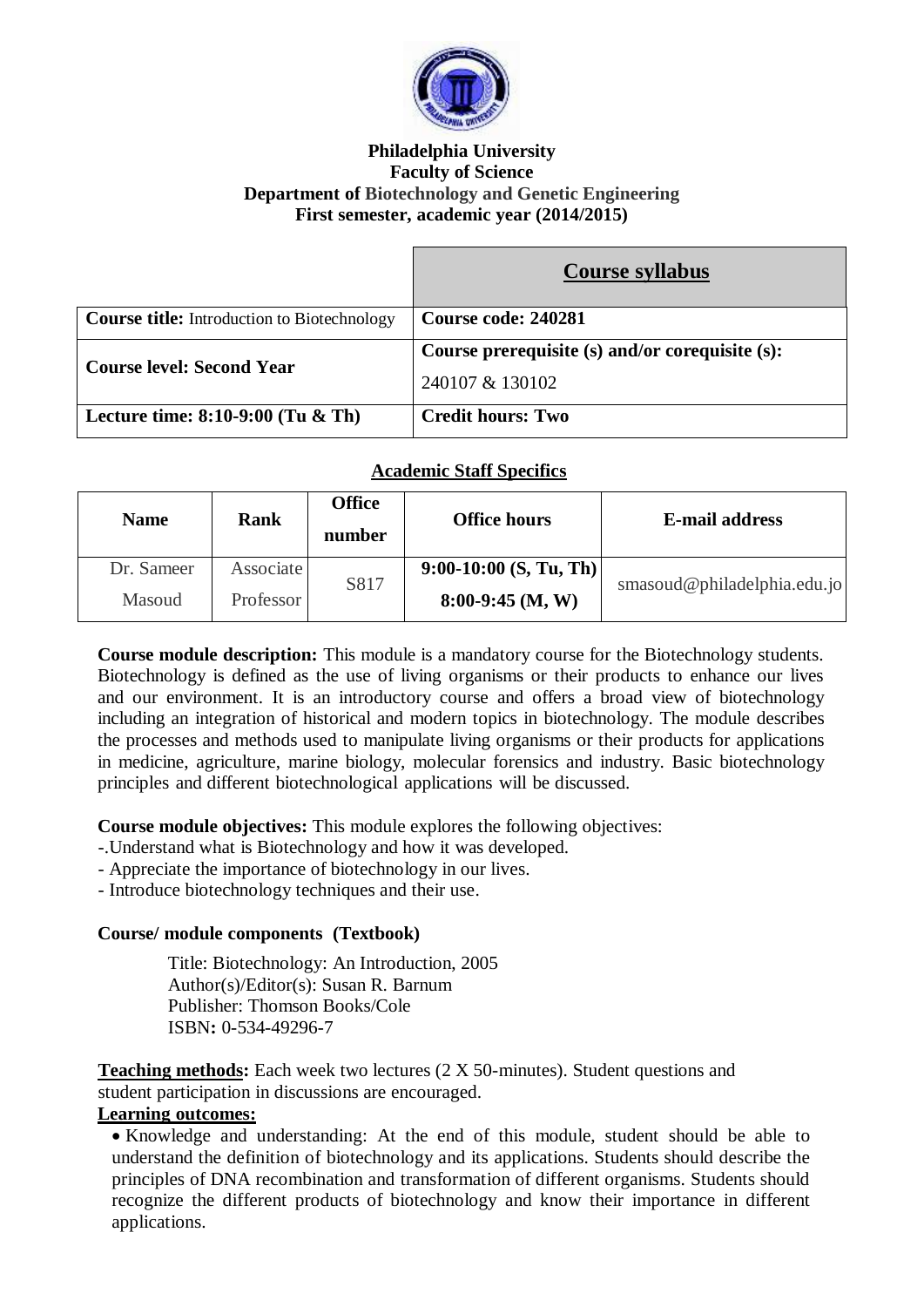

#### **Philadelphia University Faculty of Science Department of Biotechnology and Genetic Engineering First semester, academic year (2014/2015)**

|                                                    | Course syllabus                                 |
|----------------------------------------------------|-------------------------------------------------|
| <b>Course title:</b> Introduction to Biotechnology | Course code: 240281                             |
| <b>Course level: Second Year</b>                   | Course prerequisite (s) and/or corequisite (s): |
|                                                    | 240107 & 130102                                 |
| Lecture time: $8:10-9:00$ (Tu & Th)                | <b>Credit hours: Two</b>                        |

## **Academic Staff Specifics**

| <b>Name</b> | Rank      | <b>Office</b><br>number | <b>Office hours</b>      | <b>E-mail address</b>       |
|-------------|-----------|-------------------------|--------------------------|-----------------------------|
| Dr. Sameer  | Associate | S817                    | $9:00-10:00$ (S, Tu, Th) | smasoud@philadelphia.edu.io |
| Masoud      | Professor |                         | $8:00-9:45$ (M, W)       |                             |

**Course module description:** This module is a mandatory course for the Biotechnology students. Biotechnology is defined as the use of living organisms or their products to enhance our lives and our environment. It is an introductory course and offers a broad view of biotechnology including an integration of historical and modern topics in biotechnology. The module describes the processes and methods used to manipulate living organisms or their products for applications in medicine, agriculture, marine biology, molecular forensics and industry. Basic biotechnology principles and different biotechnological applications will be discussed.

**Course module objectives:** This module explores the following objectives:

- -.Understand what is Biotechnology and how it was developed.
- Appreciate the importance of biotechnology in our lives.
- Introduce biotechnology techniques and their use.

## **Course/ module components (Textbook)**

Title: Biotechnology: An Introduction, 2005 Author(s)/Editor(s): Susan R. Barnum Publisher: Thomson Books/Cole ISBN**:** 0-534-49296-7

**Teaching methods:** Each week two lectures (2 X 50-minutes). Student questions and student participation in discussions are encouraged.

#### **Learning outcomes:**

 Knowledge and understanding: At the end of this module, student should be able to understand the definition of biotechnology and its applications. Students should describe the principles of DNA recombination and transformation of different organisms. Students should recognize the different products of biotechnology and know their importance in different applications.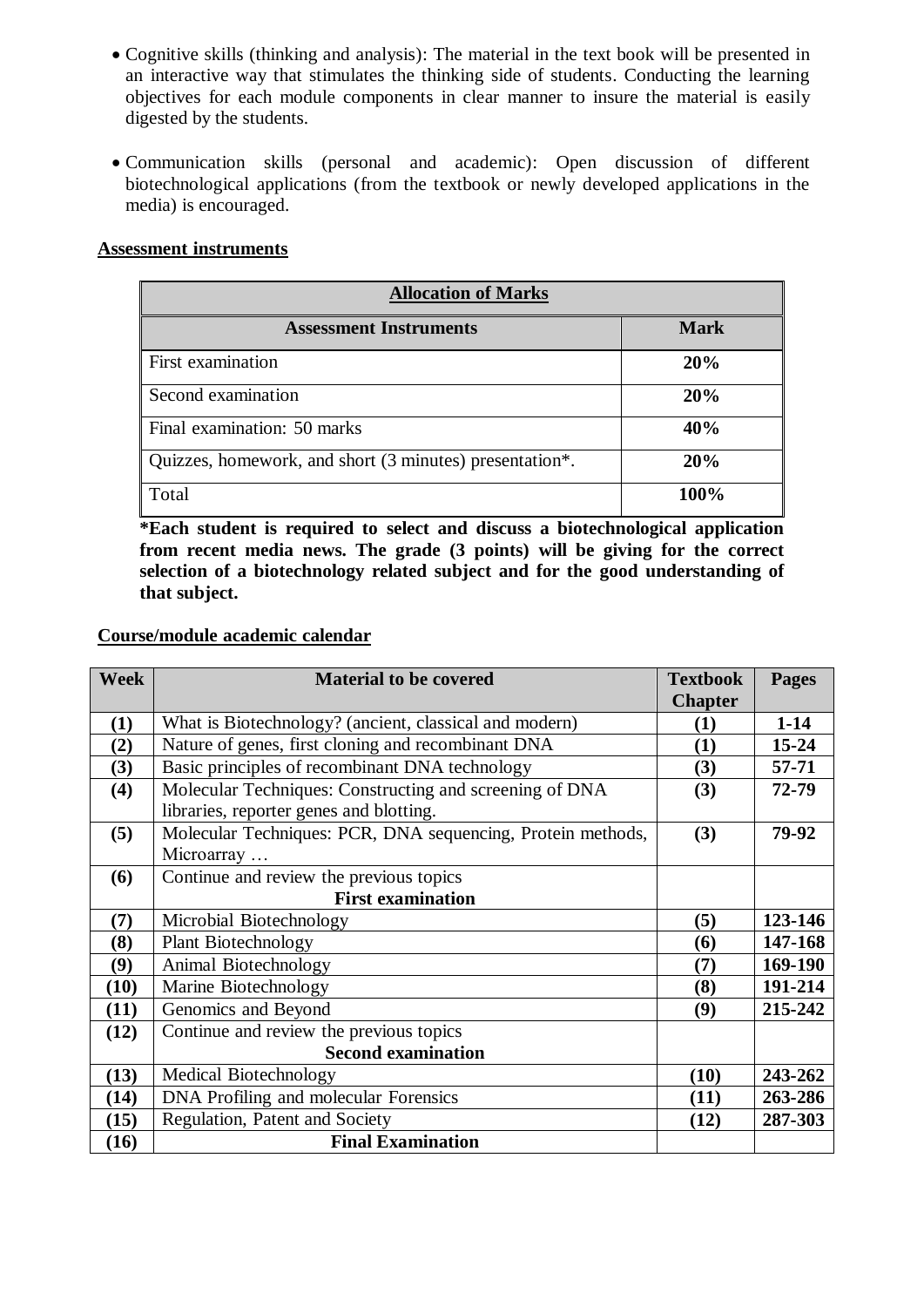- Cognitive skills (thinking and analysis): The material in the text book will be presented in an interactive way that stimulates the thinking side of students. Conducting the learning objectives for each module components in clear manner to insure the material is easily digested by the students.
- Communication skills (personal and academic): Open discussion of different biotechnological applications (from the textbook or newly developed applications in the media) is encouraged.

#### **Assessment instruments**

| <b>Allocation of Marks</b>                              |             |  |  |
|---------------------------------------------------------|-------------|--|--|
| <b>Assessment Instruments</b>                           | <b>Mark</b> |  |  |
| First examination                                       | 20%         |  |  |
| Second examination                                      | 20%         |  |  |
| Final examination: 50 marks                             | 40%         |  |  |
| Quizzes, homework, and short (3 minutes) presentation*. | 20%         |  |  |
| Total                                                   | 100%        |  |  |

**\*Each student is required to select and discuss a biotechnological application from recent media news. The grade (3 points) will be giving for the correct selection of a biotechnology related subject and for the good understanding of that subject.** 

#### **Course/module academic calendar**

| <b>Week</b> | <b>Material to be covered</b>                               | <b>Textbook</b> | <b>Pages</b> |
|-------------|-------------------------------------------------------------|-----------------|--------------|
|             |                                                             | <b>Chapter</b>  |              |
| (1)         | What is Biotechnology? (ancient, classical and modern)      | (1)             | $1-14$       |
| (2)         | Nature of genes, first cloning and recombinant DNA          | (1)             | $15 - 24$    |
| (3)         | Basic principles of recombinant DNA technology              | (3)             | 57-71        |
| (4)         | Molecular Techniques: Constructing and screening of DNA     | (3)             | 72-79        |
|             | libraries, reporter genes and blotting.                     |                 |              |
| (5)         | Molecular Techniques: PCR, DNA sequencing, Protein methods, | (3)             | 79-92        |
|             | Microarray                                                  |                 |              |
| (6)         | Continue and review the previous topics                     |                 |              |
|             | <b>First examination</b>                                    |                 |              |
| (7)         | Microbial Biotechnology                                     | (5)             | 123-146      |
| (8)         | <b>Plant Biotechnology</b>                                  | (6)             | 147-168      |
| (9)         | Animal Biotechnology                                        | (7)             | 169-190      |
| (10)        | Marine Biotechnology                                        | (8)             | 191-214      |
| (11)        | Genomics and Beyond                                         | (9)             | 215-242      |
| (12)        | Continue and review the previous topics                     |                 |              |
|             | <b>Second examination</b>                                   |                 |              |
| (13)        | Medical Biotechnology                                       | (10)            | 243-262      |
| (14)        | DNA Profiling and molecular Forensics                       | (11)            | 263-286      |
| (15)        | Regulation, Patent and Society                              | (12)            | 287-303      |
| (16)        | <b>Final Examination</b>                                    |                 |              |